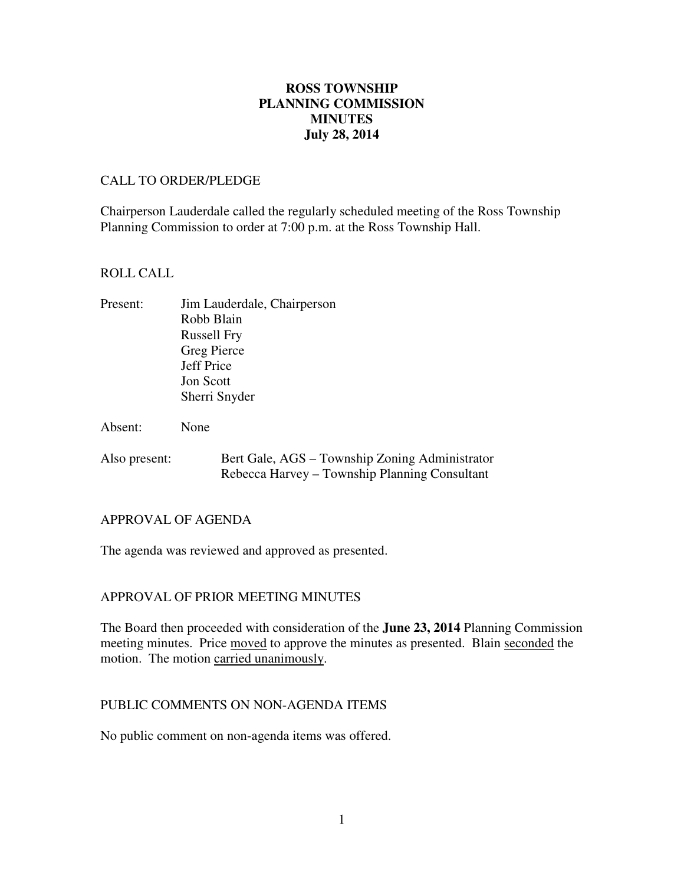# **July 28, 2014 ROSS TOWNSHIP PLANNING COMMISSION MINUTES**

### CALL TO ORDER/PLEDGE

 Chairperson Lauderdale called the regularly scheduled meeting of the Ross Township Planning Commission to order at 7:00 p.m. at the Ross Township Hall.

### ROLL CALL

| Present: | Jim Lauderdale, Chairperson |
|----------|-----------------------------|
|          | Robb Blain                  |
|          | <b>Russell Fry</b>          |
|          | Greg Pierce                 |
|          | Jeff Price                  |
|          | <b>Jon Scott</b>            |
|          | Sherri Snyder               |
|          |                             |
| Absent:  | None                        |

Also present: Bert Gale, AGS – Township Zoning Administrator Rebecca Harvey – Township Planning Consultant

### APPROVAL OF AGENDA

The agenda was reviewed and approved as presented.

# APPROVAL OF PRIOR MEETING MINUTES

 The Board then proceeded with consideration of the **June 23, 2014** Planning Commission meeting minutes. Price moved to approve the minutes as presented. Blain seconded the motion. The motion carried unanimously.

## PUBLIC COMMENTS ON NON-AGENDA ITEMS

No public comment on non-agenda items was offered.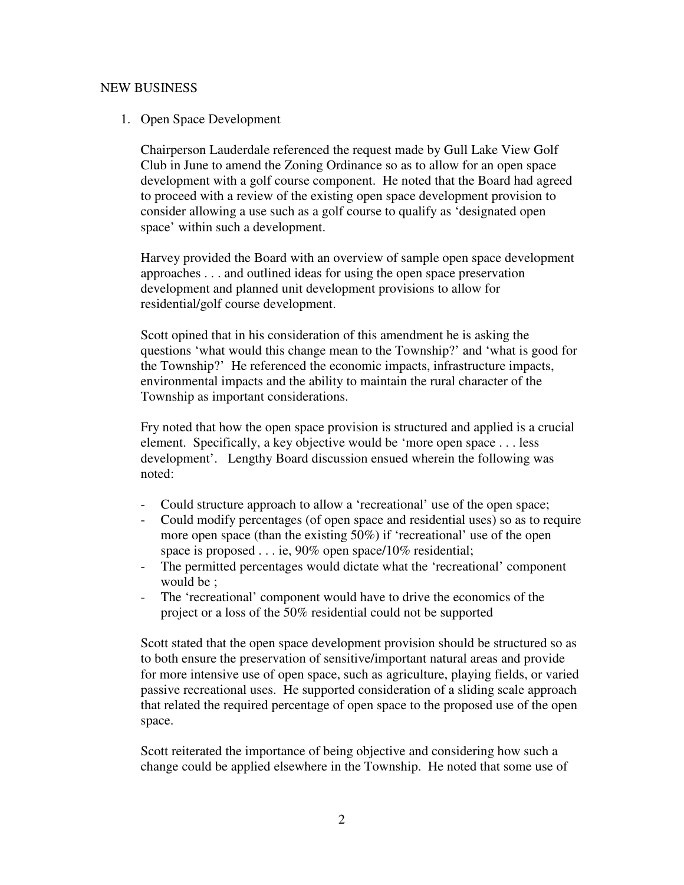# NEW BUSINESS

## 1. Open Space Development

 Chairperson Lauderdale referenced the request made by Gull Lake View Golf Club in June to amend the Zoning Ordinance so as to allow for an open space development with a golf course component. He noted that the Board had agreed to proceed with a review of the existing open space development provision to consider allowing a use such as a golf course to qualify as 'designated open space' within such a development.

 Harvey provided the Board with an overview of sample open space development approaches . . . and outlined ideas for using the open space preservation development and planned unit development provisions to allow for residential/golf course development.

 Scott opined that in his consideration of this amendment he is asking the questions 'what would this change mean to the Township?' and 'what is good for the Township?' He referenced the economic impacts, infrastructure impacts, environmental impacts and the ability to maintain the rural character of the Township as important considerations.

 Fry noted that how the open space provision is structured and applied is a crucial element. Specifically, a key objective would be 'more open space . . . less development'. Lengthy Board discussion ensued wherein the following was noted:

- Could structure approach to allow a 'recreational' use of the open space;
- - Could modify percentages (of open space and residential uses) so as to require more open space (than the existing 50%) if 'recreational' use of the open space is proposed . . . ie, 90% open space/10% residential;
- - The permitted percentages would dictate what the 'recreational' component would be ;
- - The 'recreational' component would have to drive the economics of the project or a loss of the 50% residential could not be supported

 Scott stated that the open space development provision should be structured so as to both ensure the preservation of sensitive/important natural areas and provide for more intensive use of open space, such as agriculture, playing fields, or varied passive recreational uses. He supported consideration of a sliding scale approach that related the required percentage of open space to the proposed use of the open space.

 Scott reiterated the importance of being objective and considering how such a change could be applied elsewhere in the Township. He noted that some use of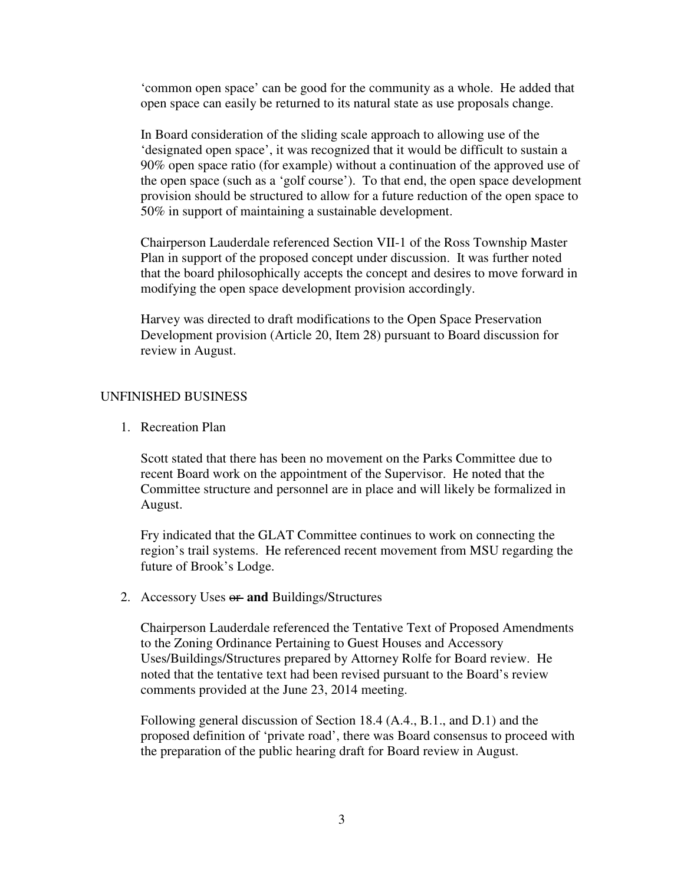'common open space' can be good for the community as a whole. He added that open space can easily be returned to its natural state as use proposals change.

 In Board consideration of the sliding scale approach to allowing use of the 'designated open space', it was recognized that it would be difficult to sustain a 90% open space ratio (for example) without a continuation of the approved use of the open space (such as a 'golf course'). To that end, the open space development provision should be structured to allow for a future reduction of the open space to 50% in support of maintaining a sustainable development.

 Chairperson Lauderdale referenced Section VII-1 of the Ross Township Master Plan in support of the proposed concept under discussion. It was further noted that the board philosophically accepts the concept and desires to move forward in modifying the open space development provision accordingly.

 Harvey was directed to draft modifications to the Open Space Preservation Development provision (Article 20, Item 28) pursuant to Board discussion for review in August.

#### UNFINISHED BUSINESS

1. Recreation Plan

 Scott stated that there has been no movement on the Parks Committee due to recent Board work on the appointment of the Supervisor. He noted that the Committee structure and personnel are in place and will likely be formalized in August.

 Fry indicated that the GLAT Committee continues to work on connecting the region's trail systems. He referenced recent movement from MSU regarding the future of Brook's Lodge.

2. Accessory Uses or **and** Buildings/Structures

 Chairperson Lauderdale referenced the Tentative Text of Proposed Amendments to the Zoning Ordinance Pertaining to Guest Houses and Accessory Uses/Buildings/Structures prepared by Attorney Rolfe for Board review. He noted that the tentative text had been revised pursuant to the Board's review comments provided at the June 23, 2014 meeting.

 Following general discussion of Section 18.4 (A.4., B.1., and D.1) and the proposed definition of 'private road', there was Board consensus to proceed with the preparation of the public hearing draft for Board review in August.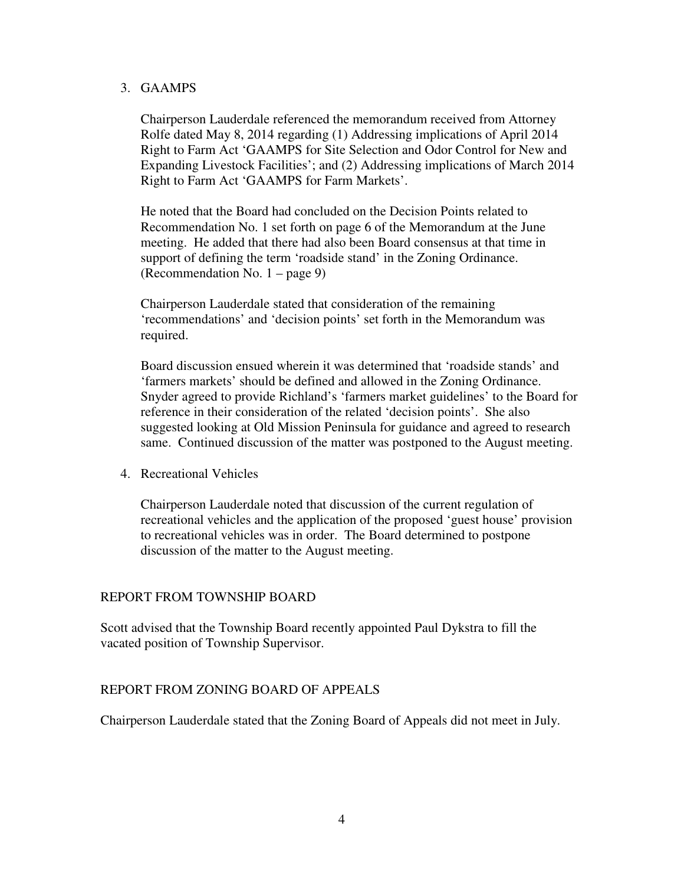#### 3. GAAMPS

 Chairperson Lauderdale referenced the memorandum received from Attorney Rolfe dated May 8, 2014 regarding (1) Addressing implications of April 2014 Right to Farm Act 'GAAMPS for Site Selection and Odor Control for New and Expanding Livestock Facilities'; and (2) Addressing implications of March 2014 Right to Farm Act 'GAAMPS for Farm Markets'.

 He noted that the Board had concluded on the Decision Points related to Recommendation No. 1 set forth on page 6 of the Memorandum at the June meeting. He added that there had also been Board consensus at that time in support of defining the term 'roadside stand' in the Zoning Ordinance. (Recommendation No. 1 – page 9)

 Chairperson Lauderdale stated that consideration of the remaining 'recommendations' and 'decision points' set forth in the Memorandum was required.

required.<br>Board discussion ensued wherein it was determined that 'roadside stands' and 'farmers markets' should be defined and allowed in the Zoning Ordinance. Snyder agreed to provide Richland's 'farmers market guidelines' to the Board for reference in their consideration of the related 'decision points'. She also suggested looking at Old Mission Peninsula for guidance and agreed to research same. Continued discussion of the matter was postponed to the August meeting.

4. Recreational Vehicles

 Chairperson Lauderdale noted that discussion of the current regulation of recreational vehicles and the application of the proposed 'guest house' provision to recreational vehicles was in order. The Board determined to postpone discussion of the matter to the August meeting.

## REPORT FROM TOWNSHIP BOARD

 Scott advised that the Township Board recently appointed Paul Dykstra to fill the vacated position of Township Supervisor.

# REPORT FROM ZONING BOARD OF APPEALS

Chairperson Lauderdale stated that the Zoning Board of Appeals did not meet in July.